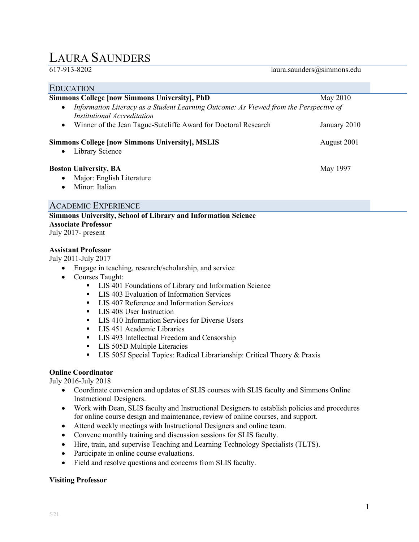# LAURA SAUNDERS

## laura.saunders@simmons.edu

| <b>EDUCATION</b>                                                                                                                  |              |
|-----------------------------------------------------------------------------------------------------------------------------------|--------------|
| <b>Simmons College [now Simmons University], PhD</b>                                                                              | May 2010     |
| Information Literacy as a Student Learning Outcome: As Viewed from the Perspective of<br>$\bullet$<br>Institutional Accreditation |              |
| Winner of the Jean Tague-Sutcliffe Award for Doctoral Research<br>$\bullet$                                                       | January 2010 |
| <b>Simmons College [now Simmons University], MSLIS</b><br>Library Science<br>$\bullet$                                            | August 2001  |
| <b>Boston University, BA</b><br>Major: English Literature<br>$\bullet$<br>Minor: Italian<br>$\bullet$                             | May 1997     |

# ACADEMIC EXPERIENCE

**Simmons University, School of Library and Information Science Associate Professor** July 2017- present

## **Assistant Professor**

July 2011-July 2017

- Engage in teaching, research/scholarship, and service
- Courses Taught:
	- LIS 401 Foundations of Library and Information Science<br>■ LIS 403 Evaluation of Information Services
	- LIS 403 Evaluation of Information Services
	- LIS 407 Reference and Information Services
	- **LIS 408 User Instruction**
	- **LIS 410 Information Services for Diverse Users**
	- **LIS 451 Academic Libraries**
	- **LIS 493 Intellectual Freedom and Censorship**
	- **LIS 505D Multiple Literacies**
	- **LIS 505J Special Topics: Radical Librarianship: Critical Theory & Praxis**

## **Online Coordinator**

July 2016-July 2018

- Coordinate conversion and updates of SLIS courses with SLIS faculty and Simmons Online Instructional Designers.
- Work with Dean, SLIS faculty and Instructional Designers to establish policies and procedures for online course design and maintenance, review of online courses, and support.
- Attend weekly meetings with Instructional Designers and online team.
- Convene monthly training and discussion sessions for SLIS faculty.
- Hire, train, and supervise Teaching and Learning Technology Specialists (TLTS).
- Participate in online course evaluations.
- Field and resolve questions and concerns from SLIS faculty.

## **Visiting Professor**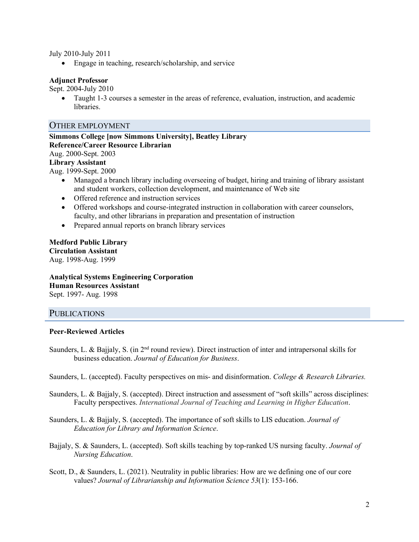July 2010-July 2011

• Engage in teaching, research/scholarship, and service

## **Adjunct Professor**

Sept. 2004-July 2010

• Taught 1-3 courses a semester in the areas of reference, evaluation, instruction, and academic libraries.

## OTHER EMPLOYMENT

**Simmons College [now Simmons University], Beatley Library Reference/Career Resource Librarian** Aug. 2000-Sept. 2003 **Library Assistant** Aug. 1999-Sept. 2000

- Managed a branch library including overseeing of budget, hiring and training of library assistant and student workers, collection development, and maintenance of Web site
- Offered reference and instruction services
- Offered workshops and course-integrated instruction in collaboration with career counselors, faculty, and other librarians in preparation and presentation of instruction
- Prepared annual reports on branch library services

**Medford Public Library Circulation Assistant** Aug. 1998-Aug. 1999

**Analytical Systems Engineering Corporation Human Resources Assistant** Sept. 1997- Aug. 1998

# **PUBLICATIONS**

## **Peer-Reviewed Articles**

Saunders, L. & Bajjaly, S. (in  $2<sup>nd</sup>$  round review). Direct instruction of inter and intrapersonal skills for business education. *Journal of Education for Business*.

Saunders, L. (accepted). Faculty perspectives on mis- and disinformation. *College & Research Libraries.*

Saunders, L. & Bajjaly, S. (accepted). Direct instruction and assessment of "soft skills" across disciplines: Faculty perspectives. *International Journal of Teaching and Learning in Higher Education*.

Saunders, L. & Bajjaly, S. (accepted). The importance of soft skills to LIS education. *Journal of Education for Library and Information Science*.

Bajjaly, S. & Saunders, L. (accepted). Soft skills teaching by top-ranked US nursing faculty. *Journal of Nursing Education*.

Scott, D., & Saunders, L. (2021). Neutrality in public libraries: How are we defining one of our core values? *Journal of Librarianship and Information Science 53*(1): 153-166.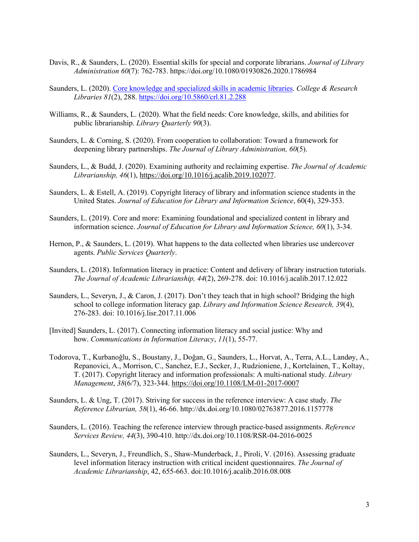- Davis, R., & Saunders, L. (2020). Essential skills for special and corporate librarians. *Journal of Library Administration 60*(7): 762-783. https://doi.org/10.1080/01930826.2020.1786984
- Saunders, L. (2020). [Core knowledge and specialized skills in academic libraries.](https://crl.acrl.org/index.php/crl/article/view/24336/32153) *College & Research Libraries 81*(2), 288.<https://doi.org/10.5860/crl.81.2.288>
- Williams, R., & Saunders, L. (2020). What the field needs: Core knowledge, skills, and abilities for public librarianship. *Library Quarterly 90*(3).
- Saunders, L. & Corning, S. (2020). From cooperation to collaboration: Toward a framework for deepening library partnerships. *The Journal of Library Administration, 60*(5).
- Saunders, L., & Budd, J. (2020). Examining authority and reclaiming expertise. *The Journal of Academic Librarianship, 46*(1), [https://doi.org/10.1016/j.acalib.2019.102077.](https://doi.org/10.1016/j.acalib.2019.102077)
- Saunders, L. & Estell, A. (2019). Copyright literacy of library and information science students in the United States. *Journal of Education for Library and Information Science*, 60(4), 329-353.
- Saunders, L. (2019). Core and more: Examining foundational and specialized content in library and information science. *Journal of Education for Library and Information Science, 60*(1), 3-34.
- Hernon, P., & Saunders, L. (2019). What happens to the data collected when libraries use undercover agents. *Public Services Quarterly*.
- Saunders, L. (2018). Information literacy in practice: Content and delivery of library instruction tutorials. *The Journal of Academic Librarianship, 44*(2), 269-278. doi: 10.1016/j.acalib.2017.12.022
- Saunders, L., Severyn, J., & Caron, J. (2017). Don't they teach that in high school? Bridging the high school to college information literacy gap. *Library and Information Science Research, 39*(4), 276-283. doi: 10.1016/j.lisr.2017.11.006
- [Invited] Saunders, L. (2017). Connecting information literacy and social justice: Why and how. *Communications in Information Literacy*, *11*(1), 55-77.
- Todorova, T., Kurbanoğlu, S., Boustany, J., Doğan, G., Saunders, L., Horvat, A., Terra, A.L., Landøy, A., Repanovici, A., Morrison, C., Sanchez, E.J., Secker, J., Rudzioniene, J., Kortelainen, T., Koltay, T. (2017). Copyright literacy and information professionals: A multi-national study. *Library Management*, *38*(6/7), 323-344. [https://doi.org/10.1108/LM-01-2017-0007](https://doi-org.ezproxy.simmons.edu/10.1108/LM-01-2017-0007)
- Saunders, L. & Ung, T. (2017). Striving for success in the reference interview: A case study. *The Reference Librarian, 58*(1), 46-66. http://dx.doi.org/10.1080/02763877.2016.1157778
- Saunders, L. (2016). Teaching the reference interview through practice-based assignments. *Reference Services Review, 44*(3), 390-410. http://dx.doi.org/10.1108/RSR-04-2016-0025
- Saunders, L., Severyn, J., Freundlich, S., Shaw-Munderback, J., Piroli, V. (2016). Assessing graduate level information literacy instruction with critical incident questionnaires. *The Journal of Academic Librarianship*, 42, 655-663. doi:10.1016/j.acalib.2016.08.008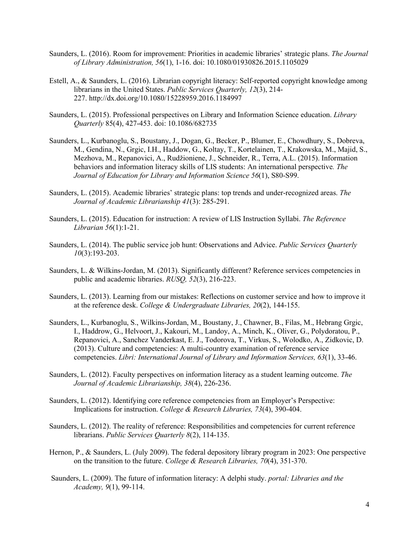- Saunders, L. (2016). Room for improvement: Priorities in academic libraries' strategic plans. *The Journal of Library Administration, 56*(1), 1-16. doi: 10.1080/01930826.2015.1105029
- Estell, A., & Saunders, L. (2016). Librarian copyright literacy: Self-reported copyright knowledge among librarians in the United States. *Public Services Quarterly, 12*(3), 214- 227. http://dx.doi.org/10.1080/15228959.2016.1184997
- Saunders, L. (2015). Professional perspectives on Library and Information Science education. *Library Quarterly* 85(4), 427-453. doi: 10.1086/682735
- Saunders, L., Kurbanoglu, S., Boustany, J., Dogan, G., Becker, P., Blumer, E., Chowdhury, S., Dobreva, M., Gendina, N., Grgic, I.H., Haddow, G., Koltay, T., Kortelainen, T., Krakowska, M., Majid, S., Mezhova, M., Repanovici, A., Rudžioniene, J., Schneider, R., Terra, A.L. (2015). Information behaviors and information literacy skills of LIS students: An international perspective*. The Journal of Education for Library and Information Science 56*(1), S80-S99.
- Saunders, L. (2015). Academic libraries' strategic plans: top trends and under-recognized areas. *The Journal of Academic Librarianship 41*(3): 285-291.
- Saunders, L. (2015). Education for instruction: A review of LIS Instruction Syllabi. *The Reference Librarian 56*(1):1-21.
- Saunders, L. (2014). The public service job hunt: Observations and Advice. *Public Services Quarterly 10*(3):193-203.
- Saunders, L. & Wilkins-Jordan, M. (2013). Significantly different? Reference services competencies in public and academic libraries. *RUSQ, 52*(3), 216-223.
- Saunders, L. (2013). Learning from our mistakes: Reflections on customer service and how to improve it at the reference desk. *College & Undergraduate Libraries, 20*(2), 144-155.
- Saunders, L., Kurbanoglu, S., Wilkins-Jordan, M., Boustany, J., Chawner, B., Filas, M., Hebrang Grgic, I., Haddrow, G., Helvoort, J., Kakouri, M., Landoy, A., Minch, K., Oliver, G., Polydoratou, P., Repanovici, A., Sanchez Vanderkast, E. J., Todorova, T., Virkus, S., Wolodko, A., Zidkovic, D. (2013). Culture and competencies: A multi-country examination of reference service competencies. *Libri: International Journal of Library and Information Services, 63*(1), 33-46.
- Saunders, L. (2012). Faculty perspectives on information literacy as a student learning outcome. *The Journal of Academic Librarianship, 38*(4), 226-236.
- Saunders, L. (2012). Identifying core reference competencies from an Employer's Perspective: Implications for instruction. *College & Research Libraries, 73*(4), 390-404.
- Saunders, L. (2012). The reality of reference: Responsibilities and competencies for current reference librarians. *Public Services Quarterly 8*(2), 114-135.
- Hernon, P., & Saunders, L. (July 2009). The federal depository library program in 2023: One perspective on the transition to the future. *College & Research Libraries, 70*(4), 351-370.
- Saunders, L. (2009). The future of information literacy: A delphi study. *portal: Libraries and the Academy, 9*(1), 99-114.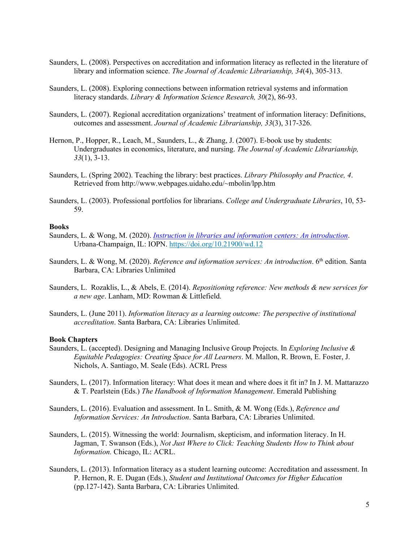- Saunders, L. (2008). Perspectives on accreditation and information literacy as reflected in the literature of library and information science. *The Journal of Academic Librarianship, 34*(4), 305-313.
- Saunders, L. (2008). Exploring connections between information retrieval systems and information literacy standards. *Library & Information Science Research, 30*(2), 86-93.
- Saunders, L. (2007). Regional accreditation organizations' treatment of information literacy: Definitions, outcomes and assessment. *Journal of Academic Librarianship, 33*(3), 317-326.
- Hernon, P., Hopper, R., Leach, M., Saunders, L., & Zhang, J. (2007). E-book use by students: Undergraduates in economics, literature, and nursing. *The Journal of Academic Librarianship, 33*(1), 3-13.
- Saunders, L. (Spring 2002). Teaching the library: best practices. *Library Philosophy and Practice, 4*. Retrieved from http://www.webpages.uidaho.edu/~mbolin/lpp.htm
- Saunders, L. (2003). Professional portfolios for librarians. *College and Undergraduate Libraries*, 10, 53- 59.

#### **Books**

- Saunders, L. & Wong, M. (2020). *[Instruction in libraries and information centers: An introduction](https://doi.org/10.21900/wd.12)*. Urbana-Champaign, IL: IOPN. <https://doi.org/10.21900/wd.12>
- Saunders, L. & Wong, M. (2020). *Reference and information services: An introduction*. 6th edition. Santa Barbara, CA: Libraries Unlimited
- Saunders, L. Rozaklis, L., & Abels, E. (2014). *Repositioning reference: New methods & new services for a new age*. Lanham, MD: Rowman & Littlefield.
- Saunders, L. (June 2011). *Information literacy as a learning outcome: The perspective of institutional accreditation*. Santa Barbara, CA: Libraries Unlimited.

#### **Book Chapters**

- Saunders, L. (accepted). Designing and Managing Inclusive Group Projects. In *Exploring Inclusive & Equitable Pedagogies: Creating Space for All Learners*. M. Mallon, R. Brown, E. Foster, J. Nichols, A. Santiago, M. Seale (Eds). ACRL Press
- Saunders, L. (2017). Information literacy: What does it mean and where does it fit in? In J. M. Mattarazzo & T. Pearlstein (Eds.) *The Handbook of Information Management*. Emerald Publishing
- Saunders, L. (2016). Evaluation and assessment. In L. Smith, & M. Wong (Eds.), *Reference and Information Services: An Introduction*. Santa Barbara, CA: Libraries Unlimited.
- Saunders, L. (2015). Witnessing the world: Journalism, skepticism, and information literacy. In H. Jagman, T. Swanson (Eds.), *Not Just Where to Click: Teaching Students How to Think about Information.* Chicago, IL: ACRL.
- Saunders, L. (2013). Information literacy as a student learning outcome: Accreditation and assessment. In P. Hernon, R. E. Dugan (Eds.), *Student and Institutional Outcomes for Higher Education* (pp.127-142). Santa Barbara, CA: Libraries Unlimited.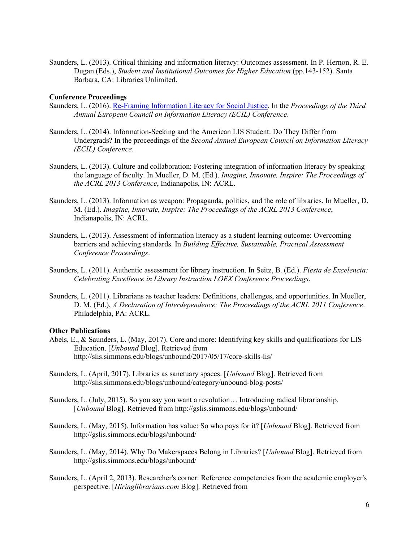Saunders, L. (2013). Critical thinking and information literacy: Outcomes assessment. In P. Hernon, R. E. Dugan (Eds.), *Student and Institutional Outcomes for Higher Education* (pp.143-152). Santa Barbara, CA: Libraries Unlimited.

#### **Conference Proceedings**

- Saunders, L. (2016). [Re-Framing Information Literacy for Social Justice.](http://slis.simmons.edu/blogs/lsaunders/files/2016/05/ReFraming-IL.pdf) In the *Proceedings of the Third Annual European Council on Information Literacy (ECIL) Conference*.
- Saunders, L. (2014). Information-Seeking and the American LIS Student: Do They Differ from Undergrads? In the proceedings of the *Second Annual European Council on Information Literacy (ECIL) Conference*.
- Saunders, L. (2013). Culture and collaboration: Fostering integration of information literacy by speaking the language of faculty. In Mueller, D. M. (Ed.). *Imagine, Innovate, Inspire: The Proceedings of the ACRL 2013 Conference*, Indianapolis, IN: ACRL.
- Saunders, L. (2013). Information as weapon: Propaganda, politics, and the role of libraries. In Mueller, D. M. (Ed.). *Imagine, Innovate, Inspire: The Proceedings of the ACRL 2013 Conference*, Indianapolis, IN: ACRL.
- Saunders, L. (2013). Assessment of information literacy as a student learning outcome: Overcoming barriers and achieving standards. In *Building Effective, Sustainable, Practical Assessment Conference Proceedings*.
- Saunders, L. (2011). Authentic assessment for library instruction. In Seitz, B. (Ed.). *Fiesta de Excelencia: Celebrating Excellence in Library Instruction LOEX Conference Proceedings*.
- Saunders, L. (2011). Librarians as teacher leaders: Definitions, challenges, and opportunities. In Mueller, D. M. (Ed.), *A Declaration of Interdependence: The Proceedings of the ACRL 2011 Conference*. Philadelphia, PA: ACRL.

#### **Other Publications**

- Abels, E., & Saunders, L. (May, 2017). Core and more: Identifying key skills and qualifications for LIS Education. [*Unbound* Blog]. Retrieved from http://slis.simmons.edu/blogs/unbound/2017/05/17/core-skills-lis/
- Saunders, L. (April, 2017). Libraries as sanctuary spaces. [*Unbound* Blog]. Retrieved from http://slis.simmons.edu/blogs/unbound/category/unbound-blog-posts/
- Saunders, L. (July, 2015). So you say you want a revolution… Introducing radical librarianship. [*Unbound* Blog]. Retrieved from http://gslis.simmons.edu/blogs/unbound/
- Saunders, L. (May, 2015). Information has value: So who pays for it? [*Unbound* Blog]. Retrieved from http://gslis.simmons.edu/blogs/unbound/
- Saunders, L. (May, 2014). Why Do Makerspaces Belong in Libraries? [*Unbound* Blog]. Retrieved from http://gslis.simmons.edu/blogs/unbound/
- Saunders, L. (April 2, 2013). Researcher's corner: Reference competencies from the academic employer's perspective. [*Hiringlibrarians.com* Blog]. Retrieved from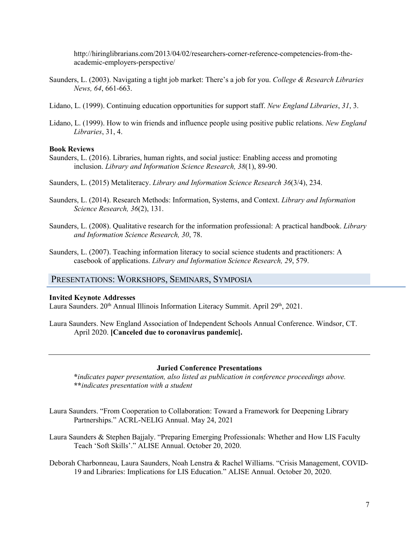http://hiringlibrarians.com/2013/04/02/researchers-corner-reference-competencies-from-theacademic-employers-perspective/

- Saunders, L. (2003). Navigating a tight job market: There's a job for you. *College & Research Libraries News, 64*, 661-663.
- Lidano, L. (1999). Continuing education opportunities for support staff. *New England Libraries*, *31*, 3.
- Lidano, L. (1999). How to win friends and influence people using positive public relations. *New England Libraries*, 31, 4.

#### **Book Reviews**

- Saunders, L. (2016). Libraries, human rights, and social justice: Enabling access and promoting inclusion. *Library and Information Science Research, 38*(1), 89-90.
- Saunders, L. (2015) Metaliteracy. *Library and Information Science Research 36*(3/4), 234.
- Saunders, L. (2014). Research Methods: Information, Systems, and Context. *Library and Information Science Research, 36*(2), 131.
- Saunders, L. (2008). Qualitative research for the information professional: A practical handbook. *Library and Information Science Research, 30*, 78.
- Saunders, L. (2007). Teaching information literacy to social science students and practitioners: A casebook of applications. *Library and Information Science Research, 29*, 579.

# PRESENTATIONS: WORKSHOPS, SEMINARS, SYMPOSIA

#### **Invited Keynote Addresses**

Laura Saunders. 20<sup>th</sup> Annual Illinois Information Literacy Summit. April 29<sup>th</sup>, 2021.

Laura Saunders. New England Association of Independent Schools Annual Conference. Windsor, CT. April 2020. **[Canceled due to coronavirus pandemic].**

#### **Juried Conference Presentations**

**\****indicates paper presentation, also listed as publication in conference proceedings above.* **\*\****indicates presentation with a student*

- Laura Saunders. "From Cooperation to Collaboration: Toward a Framework for Deepening Library Partnerships." ACRL-NELIG Annual. May 24, 2021
- Laura Saunders & Stephen Bajjaly. "Preparing Emerging Professionals: Whether and How LIS Faculty Teach 'Soft Skills'." ALISE Annual. October 20, 2020.
- Deborah Charbonneau, Laura Saunders, Noah Lenstra & Rachel Williams. "Crisis Management, COVID-19 and Libraries: Implications for LIS Education." ALISE Annual. October 20, 2020.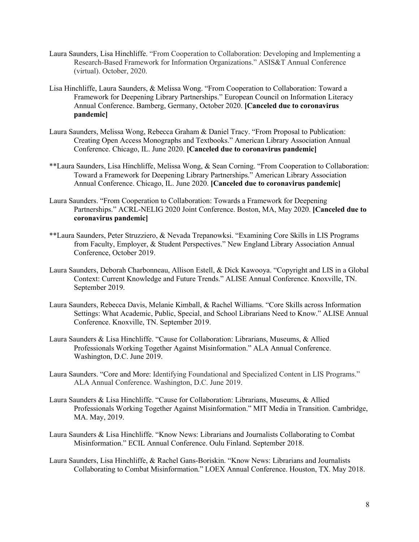- Laura Saunders, Lisa Hinchliffe. "From Cooperation to Collaboration: Developing and Implementing a Research-Based Framework for Information Organizations." ASIS&T Annual Conference (virtual). October, 2020.
- Lisa Hinchliffe, Laura Saunders, & Melissa Wong. "From Cooperation to Collaboration: Toward a Framework for Deepening Library Partnerships." European Council on Information Literacy Annual Conference. Bamberg, Germany, October 2020. **[Canceled due to coronavirus pandemic]**
- Laura Saunders, Melissa Wong, Rebecca Graham & Daniel Tracy. "From Proposal to Publication: Creating Open Access Monographs and Textbooks." American Library Association Annual Conference. Chicago, IL. June 2020. **[Canceled due to coronavirus pandemic]**
- \*\*Laura Saunders, Lisa Hinchliffe, Melissa Wong, & Sean Corning. "From Cooperation to Collaboration: Toward a Framework for Deepening Library Partnerships." American Library Association Annual Conference. Chicago, IL. June 2020. **[Canceled due to coronavirus pandemic]**
- Laura Saunders. "From Cooperation to Collaboration: Towards a Framework for Deepening Partnerships." ACRL-NELIG 2020 Joint Conference. Boston, MA, May 2020. **[Canceled due to coronavirus pandemic]**
- \*\*Laura Saunders, Peter Struzziero, & Nevada Trepanowksi. "Examining Core Skills in LIS Programs from Faculty, Employer, & Student Perspectives." New England Library Association Annual Conference, October 2019.
- Laura Saunders, Deborah Charbonneau, Allison Estell, & Dick Kawooya. "Copyright and LIS in a Global Context: Current Knowledge and Future Trends." ALISE Annual Conference. Knoxville, TN. September 2019.
- Laura Saunders, Rebecca Davis, Melanie Kimball, & Rachel Williams. "Core Skills across Information Settings: What Academic, Public, Special, and School Librarians Need to Know." ALISE Annual Conference. Knoxville, TN. September 2019.
- Laura Saunders & Lisa Hinchliffe. "Cause for Collaboration: Librarians, Museums, & Allied Professionals Working Together Against Misinformation." ALA Annual Conference. Washington, D.C. June 2019.
- Laura Saunders. "Core and More: Identifying Foundational and Specialized Content in LIS Programs." ALA Annual Conference. Washington, D.C. June 2019.
- Laura Saunders & Lisa Hinchliffe. "Cause for Collaboration: Librarians, Museums, & Allied Professionals Working Together Against Misinformation." MIT Media in Transition. Cambridge, MA. May, 2019.
- Laura Saunders & Lisa Hinchliffe. "Know News: Librarians and Journalists Collaborating to Combat Misinformation." ECIL Annual Conference. Oulu Finland. September 2018.
- Laura Saunders, Lisa Hinchliffe, & Rachel Gans-Boriskin. "Know News: Librarians and Journalists Collaborating to Combat Misinformation." LOEX Annual Conference. Houston, TX. May 2018.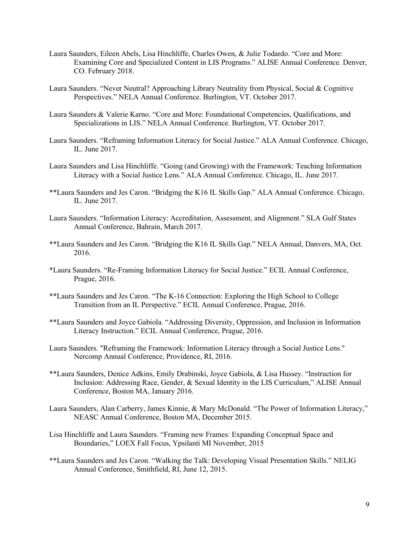- Laura Saunders, Eileen Abels, Lisa Hinchliffe, Charles Owen, & Julie Todardo. "Core and More: Examining Core and Specialized Content in LIS Programs." ALISE Annual Conference. Denver, CO. February 2018.
- Laura Saunders. "Never Neutral? Approaching Library Neutrality from Physical, Social & Cognitive Perspectives." NELA Annual Conference. Burlington, VT. October 2017.
- Laura Saunders & Valerie Karno. "Core and More: Foundational Competencies, Qualifications, and Specializations in LIS." NELA Annual Conference. Burlington, VT. October 2017.
- Laura Saunders. "Reframing Information Literacy for Social Justice." ALA Annual Conference. Chicago, IL. June 2017.
- Laura Saunders and Lisa Hinchliffe. "Going (and Growing) with the Framework: Teaching Information Literacy with a Social Justice Lens." ALA Annual Conference. Chicago, IL. June 2017.
- \*\*Laura Saunders and Jes Caron. "Bridging the K16 IL Skills Gap." ALA Annual Conference. Chicago, IL. June 2017.
- Laura Saunders. "Information Literacy: Accreditation, Assessment, and Alignment." SLA Gulf States Annual Conference, Bahrain, March 2017.
- \*\*Laura Saunders and Jes Caron. "Bridging the K16 IL Skills Gap." NELA Annual, Danvers, MA, Oct. 2016.
- \*Laura Saunders. "Re-Framing Information Literacy for Social Justice." ECIL Annual Conference, Prague, 2016.
- \*\*Laura Saunders and Jes Caron. "The K-16 Connection: Exploring the High School to College Transition from an IL Perspective." ECIL Annual Conference, Prague, 2016.
- \*\*Laura Saunders and Joyce Gabiola. "Addressing Diversity, Oppression, and Inclusion in Information Literacy Instruction." ECIL Annual Conference, Prague, 2016.
- Laura Saunders. "Reframing the Framework: Information Literacy through a Social Justice Lens." Nercomp Annual Conference, Providence, RI, 2016.
- \*\*Laura Saunders, Denice Adkins, Emily Drabinski, Joyce Gabiola, & Lisa Hussey. "Instruction for Inclusion: Addressing Race, Gender, & Sexual Identity in the LIS Curriculum," ALISE Annual Conference, Boston MA, January 2016.
- Laura Saunders, Alan Carberry, James Kinnie, & Mary McDonald. "The Power of Information Literacy," NEASC Annual Conference, Boston MA, December 2015.
- Lisa Hinchliffe and Laura Saunders. "Framing new Frames: Expanding Conceptual Space and Boundaries," LOEX Fall Focus, Ypsilanti MI November, 2015
- \*\*Laura Saunders and Jes Caron. "Walking the Talk: Developing Visual Presentation Skills." NELIG Annual Conference, Smithfield, RI, June 12, 2015.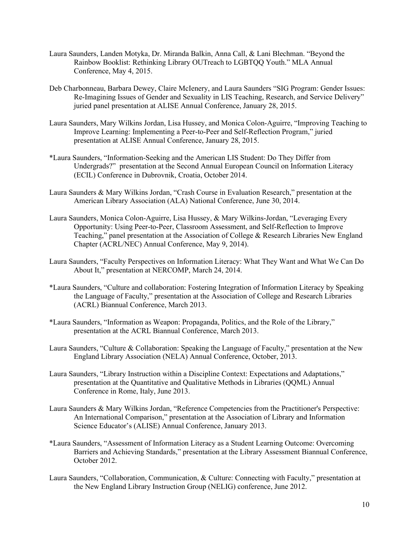- Laura Saunders, Landen Motyka, Dr. Miranda Balkin, Anna Call, & Lani Blechman. "Beyond the Rainbow Booklist: Rethinking Library OUTreach to LGBTQQ Youth." MLA Annual Conference, May 4, 2015.
- Deb Charbonneau, Barbara Dewey, Claire McIenery, and Laura Saunders "SIG Program: Gender Issues: Re-Imagining Issues of Gender and Sexuality in LIS Teaching, Research, and Service Delivery" juried panel presentation at ALISE Annual Conference, January 28, 2015.
- Laura Saunders, Mary Wilkins Jordan, Lisa Hussey, and Monica Colon-Aguirre, "Improving Teaching to Improve Learning: Implementing a Peer-to-Peer and Self-Reflection Program," juried presentation at ALISE Annual Conference, January 28, 2015.
- \*Laura Saunders, "Information-Seeking and the American LIS Student: Do They Differ from Undergrads?" presentation at the Second Annual European Council on Information Literacy (ECIL) Conference in Dubrovnik, Croatia, October 2014.
- Laura Saunders & Mary Wilkins Jordan, "Crash Course in Evaluation Research," presentation at the American Library Association (ALA) National Conference, June 30, 2014.
- Laura Saunders, Monica Colon-Aguirre, Lisa Hussey, & Mary Wilkins-Jordan, "Leveraging Every Opportunity: Using Peer-to-Peer, Classroom Assessment, and Self-Reflection to Improve Teaching," panel presentation at the Association of College & Research Libraries New England Chapter (ACRL/NEC) Annual Conference, May 9, 2014).
- Laura Saunders, "Faculty Perspectives on Information Literacy: What They Want and What We Can Do About It," presentation at NERCOMP, March 24, 2014.
- \*Laura Saunders, "Culture and collaboration: Fostering Integration of Information Literacy by Speaking the Language of Faculty," presentation at the Association of College and Research Libraries (ACRL) Biannual Conference, March 2013.
- \*Laura Saunders, "Information as Weapon: Propaganda, Politics, and the Role of the Library," presentation at the ACRL Biannual Conference, March 2013.
- Laura Saunders, "Culture & Collaboration: Speaking the Language of Faculty," presentation at the New England Library Association (NELA) Annual Conference, October, 2013.
- Laura Saunders, "Library Instruction within a Discipline Context: Expectations and Adaptations," presentation at the Quantitative and Qualitative Methods in Libraries (QQML) Annual Conference in Rome, Italy, June 2013.
- Laura Saunders & Mary Wilkins Jordan, "Reference Competencies from the Practitioner's Perspective: An International Comparison," presentation at the Association of Library and Information Science Educator's (ALISE) Annual Conference, January 2013.
- \*Laura Saunders, "Assessment of Information Literacy as a Student Learning Outcome: Overcoming Barriers and Achieving Standards," presentation at the Library Assessment Biannual Conference, October 2012.
- Laura Saunders, "Collaboration, Communication, & Culture: Connecting with Faculty," presentation at the New England Library Instruction Group (NELIG) conference, June 2012.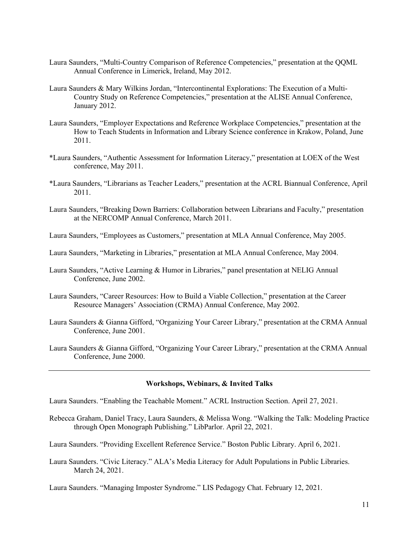- Laura Saunders, "Multi-Country Comparison of Reference Competencies," presentation at the QQML Annual Conference in Limerick, Ireland, May 2012.
- Laura Saunders & Mary Wilkins Jordan, "Intercontinental Explorations: The Execution of a Multi-Country Study on Reference Competencies," presentation at the ALISE Annual Conference, January 2012.
- Laura Saunders, "Employer Expectations and Reference Workplace Competencies," presentation at the How to Teach Students in Information and Library Science conference in Krakow, Poland, June 2011.
- \*Laura Saunders, "Authentic Assessment for Information Literacy," presentation at LOEX of the West conference, May 2011.
- \*Laura Saunders, "Librarians as Teacher Leaders," presentation at the ACRL Biannual Conference, April 2011.
- Laura Saunders, "Breaking Down Barriers: Collaboration between Librarians and Faculty," presentation at the NERCOMP Annual Conference, March 2011.

Laura Saunders, "Employees as Customers," presentation at MLA Annual Conference, May 2005.

- Laura Saunders, "Marketing in Libraries," presentation at MLA Annual Conference, May 2004.
- Laura Saunders, "Active Learning & Humor in Libraries," panel presentation at NELIG Annual Conference, June 2002.
- Laura Saunders, "Career Resources: How to Build a Viable Collection," presentation at the Career Resource Managers' Association (CRMA) Annual Conference, May 2002.
- Laura Saunders & Gianna Gifford, "Organizing Your Career Library," presentation at the CRMA Annual Conference, June 2001.
- Laura Saunders & Gianna Gifford, "Organizing Your Career Library," presentation at the CRMA Annual Conference, June 2000.

#### **Workshops, Webinars, & Invited Talks**

Laura Saunders. "Enabling the Teachable Moment." ACRL Instruction Section. April 27, 2021.

Rebecca Graham, Daniel Tracy, Laura Saunders, & Melissa Wong. "Walking the Talk: Modeling Practice through Open Monograph Publishing." LibParlor. April 22, 2021.

Laura Saunders. "Providing Excellent Reference Service." Boston Public Library. April 6, 2021.

Laura Saunders. "Civic Literacy." ALA's Media Literacy for Adult Populations in Public Libraries. March 24, 2021.

Laura Saunders. "Managing Imposter Syndrome." LIS Pedagogy Chat. February 12, 2021.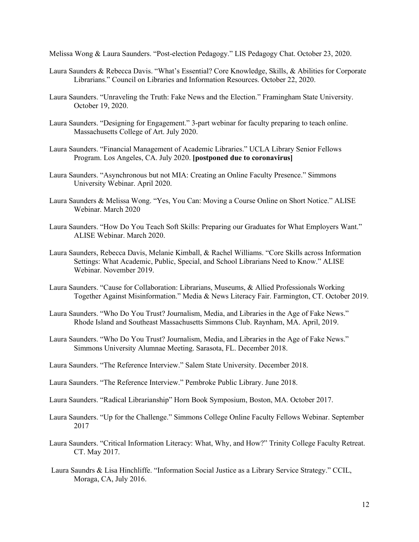Melissa Wong & Laura Saunders. "Post-election Pedagogy." LIS Pedagogy Chat. October 23, 2020.

- Laura Saunders & Rebecca Davis. "What's Essential? Core Knowledge, Skills, & Abilities for Corporate Librarians." Council on Libraries and Information Resources. October 22, 2020.
- Laura Saunders. "Unraveling the Truth: Fake News and the Election." Framingham State University. October 19, 2020.
- Laura Saunders. "Designing for Engagement." 3-part webinar for faculty preparing to teach online. Massachusetts College of Art. July 2020.
- Laura Saunders. "Financial Management of Academic Libraries." UCLA Library Senior Fellows Program. Los Angeles, CA. July 2020. **[postponed due to coronavirus]**
- Laura Saunders. "Asynchronous but not MIA: Creating an Online Faculty Presence." Simmons University Webinar. April 2020.
- Laura Saunders & Melissa Wong. "Yes, You Can: Moving a Course Online on Short Notice." ALISE Webinar. March 2020
- Laura Saunders. "How Do You Teach Soft Skills: Preparing our Graduates for What Employers Want." ALISE Webinar. March 2020.
- Laura Saunders, Rebecca Davis, Melanie Kimball, & Rachel Williams. "Core Skills across Information Settings: What Academic, Public, Special, and School Librarians Need to Know." ALISE Webinar. November 2019.
- Laura Saunders. "Cause for Collaboration: Librarians, Museums, & Allied Professionals Working Together Against Misinformation." Media & News Literacy Fair. Farmington, CT. October 2019.
- Laura Saunders. "Who Do You Trust? Journalism, Media, and Libraries in the Age of Fake News." Rhode Island and Southeast Massachusetts Simmons Club. Raynham, MA. April, 2019.
- Laura Saunders. "Who Do You Trust? Journalism, Media, and Libraries in the Age of Fake News." Simmons University Alumnae Meeting. Sarasota, FL. December 2018.
- Laura Saunders. "The Reference Interview." Salem State University. December 2018.
- Laura Saunders. "The Reference Interview." Pembroke Public Library. June 2018.
- Laura Saunders. "Radical Librarianship" Horn Book Symposium, Boston, MA. October 2017.
- Laura Saunders. "Up for the Challenge." Simmons College Online Faculty Fellows Webinar. September 2017
- Laura Saunders. "Critical Information Literacy: What, Why, and How?" Trinity College Faculty Retreat. CT. May 2017.
- Laura Saundrs & Lisa Hinchliffe. "Information Social Justice as a Library Service Strategy." CCIL, Moraga, CA, July 2016.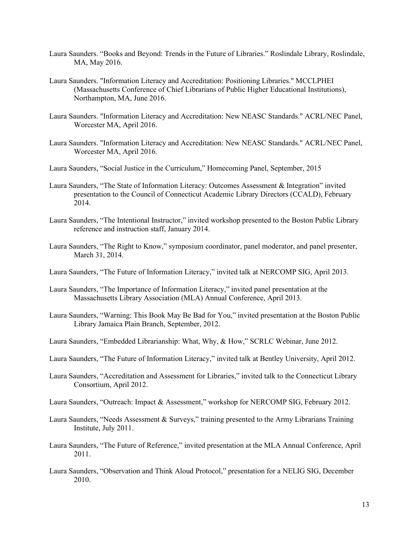- Laura Saunders. "Books and Beyond: Trends in the Future of Libraries." Roslindale Library, Roslindale, MA, May 2016.
- Laura Saunders. "Information Literacy and Accreditation: Positioning Libraries." MCCLPHEI (Massachusetts Conference of Chief Librarians of Public Higher Educational Institutions), Northampton, MA, June 2016.
- Laura Saunders. "Information Literacy and Accreditation: New NEASC Standards." ACRL/NEC Panel, Worcester MA, April 2016.
- Laura Saunders. "Information Literacy and Accreditation: New NEASC Standards." ACRL/NEC Panel, Worcester MA, April 2016.
- Laura Saunders, "Social Justice in the Curriculum," Homecoming Panel, September, 2015
- Laura Saunders, "The State of Information Literacy: Outcomes Assessment & Integration" invited presentation to the Council of Connecticut Academic Library Directors (CCALD), February 2014.
- Laura Saunders, "The Intentional Instructor," invited workshop presented to the Boston Public Library reference and instruction staff, January 2014.
- Laura Saunders, "The Right to Know," symposium coordinator, panel moderator, and panel presenter, March 31, 2014.
- Laura Saunders, "The Future of Information Literacy," invited talk at NERCOMP SIG, April 2013.
- Laura Saunders, "The Importance of Information Literacy," invited panel presentation at the Massachusetts Library Association (MLA) Annual Conference, April 2013.
- Laura Saunders, "Warning: This Book May Be Bad for You," invited presentation at the Boston Public Library Jamaica Plain Branch, September, 2012.
- Laura Saunders, "Embedded Librarianship: What, Why, & How," SCRLC Webinar, June 2012.
- Laura Saunders, "The Future of Information Literacy," invited talk at Bentley University, April 2012.
- Laura Saunders, "Accreditation and Assessment for Libraries," invited talk to the Connecticut Library Consortium, April 2012.
- Laura Saunders, "Outreach: Impact & Assessment," workshop for NERCOMP SIG, February 2012.
- Laura Saunders, "Needs Assessment & Surveys," training presented to the Army Librarians Training Institute, July 2011.
- Laura Saunders, "The Future of Reference," invited presentation at the MLA Annual Conference, April 2011.
- Laura Saunders, "Observation and Think Aloud Protocol," presentation for a NELIG SIG, December 2010.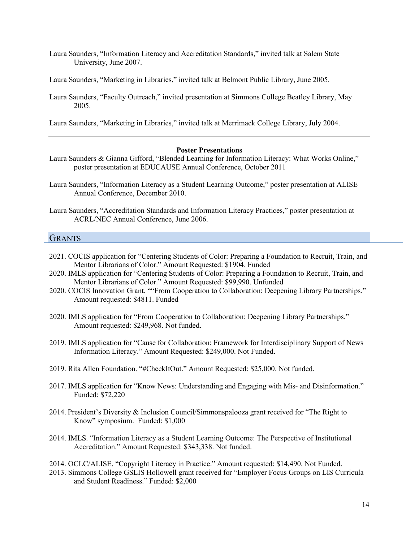- Laura Saunders, "Information Literacy and Accreditation Standards," invited talk at Salem State University, June 2007.
- Laura Saunders, "Marketing in Libraries," invited talk at Belmont Public Library, June 2005.
- Laura Saunders, "Faculty Outreach," invited presentation at Simmons College Beatley Library, May 2005.

Laura Saunders, "Marketing in Libraries," invited talk at Merrimack College Library, July 2004.

#### **Poster Presentations**

- Laura Saunders & Gianna Gifford, "Blended Learning for Information Literacy: What Works Online," poster presentation at EDUCAUSE Annual Conference, October 2011
- Laura Saunders, "Information Literacy as a Student Learning Outcome," poster presentation at ALISE Annual Conference, December 2010.
- Laura Saunders, "Accreditation Standards and Information Literacy Practices," poster presentation at ACRL/NEC Annual Conference, June 2006.

# **GRANTS**

- 2021. COCIS application for "Centering Students of Color: Preparing a Foundation to Recruit, Train, and Mentor Librarians of Color." Amount Requested: \$1904. Funded
- 2020. IMLS application for "Centering Students of Color: Preparing a Foundation to Recruit, Train, and Mentor Librarians of Color." Amount Requested: \$99,990. Unfunded
- 2020. COCIS Innovation Grant. ""From Cooperation to Collaboration: Deepening Library Partnerships." Amount requested: \$4811. Funded
- 2020. IMLS application for "From Cooperation to Collaboration: Deepening Library Partnerships." Amount requested: \$249,968. Not funded.
- 2019. IMLS application for "Cause for Collaboration: Framework for Interdisciplinary Support of News Information Literacy." Amount Requested: \$249,000. Not Funded.
- 2019. Rita Allen Foundation. "#CheckItOut." Amount Requested: \$25,000. Not funded.
- 2017. IMLS application for "Know News: Understanding and Engaging with Mis- and Disinformation." Funded: \$72,220
- 2014. President's Diversity & Inclusion Council/Simmonspalooza grant received for "The Right to Know" symposium. Funded: \$1,000
- 2014. IMLS. "Information Literacy as a Student Learning Outcome: The Perspective of Institutional Accreditation." Amount Requested: \$343,338. Not funded.
- 2014. OCLC/ALISE. "Copyright Literacy in Practice." Amount requested: \$14,490. Not Funded.
- 2013. Simmons College GSLIS Hollowell grant received for "Employer Focus Groups on LIS Curricula and Student Readiness." Funded: \$2,000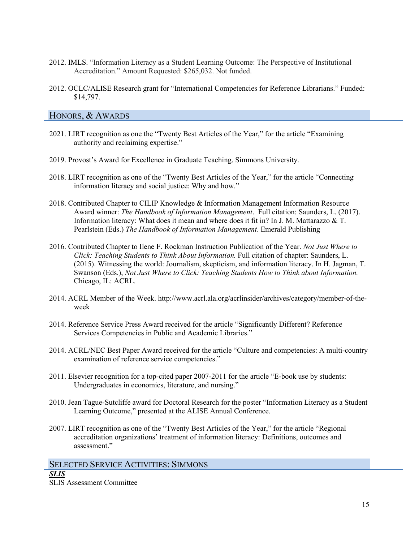- 2012. IMLS. "Information Literacy as a Student Learning Outcome: The Perspective of Institutional Accreditation." Amount Requested: \$265,032. Not funded.
- 2012. OCLC/ALISE Research grant for "International Competencies for Reference Librarians." Funded: \$14,797.

# HONORS, & AWARDS

- 2021. LIRT recognition as one the "Twenty Best Articles of the Year," for the article "Examining authority and reclaiming expertise."
- 2019. Provost's Award for Excellence in Graduate Teaching. Simmons University.
- 2018. LIRT recognition as one of the "Twenty Best Articles of the Year," for the article "Connecting information literacy and social justice: Why and how."
- 2018. Contributed Chapter to CILIP Knowledge & Information Management Information Resource Award winner: *The Handbook of Information Management*. Full citation: Saunders, L. (2017). Information literacy: What does it mean and where does it fit in? In J. M. Mattarazzo & T. Pearlstein (Eds.) *The Handbook of Information Management*. Emerald Publishing
- 2016. Contributed Chapter to Ilene F. Rockman Instruction Publication of the Year. *Not Just Where to Click: Teaching Students to Think About Information.* Full citation of chapter: Saunders, L. (2015). Witnessing the world: Journalism, skepticism, and information literacy. In H. Jagman, T. Swanson (Eds.), *Not Just Where to Click: Teaching Students How to Think about Information.* Chicago, IL: ACRL.
- 2014. ACRL Member of the Week. http://www.acrl.ala.org/acrlinsider/archives/category/member-of-theweek
- 2014. Reference Service Press Award received for the article "Significantly Different? Reference Services Competencies in Public and Academic Libraries."
- 2014. ACRL/NEC Best Paper Award received for the article "Culture and competencies: A multi-country examination of reference service competencies."
- 2011. Elsevier recognition for a top-cited paper 2007-2011 for the article "E-book use by students: Undergraduates in economics, literature, and nursing."
- 2010. Jean Tague-Sutcliffe award for Doctoral Research for the poster "Information Literacy as a Student Learning Outcome," presented at the ALISE Annual Conference.
- 2007. LIRT recognition as one of the "Twenty Best Articles of the Year," for the article "Regional accreditation organizations' treatment of information literacy: Definitions, outcomes and assessment."

SELECTED SERVICE ACTIVITIES: SIMMONS *SLIS* SLIS Assessment Committee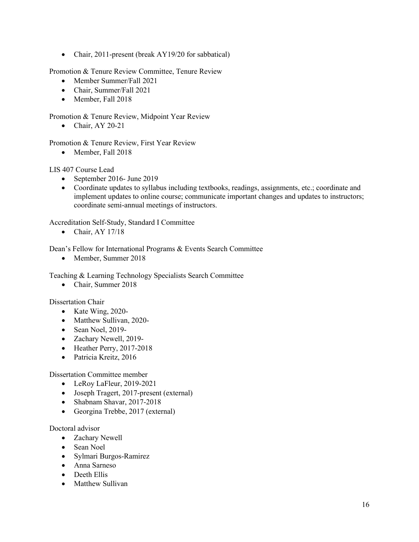• Chair, 2011-present (break AY19/20 for sabbatical)

Promotion & Tenure Review Committee, Tenure Review

- Member Summer/Fall 2021
- Chair, Summer/Fall 2021
- Member, Fall 2018

Promotion & Tenure Review, Midpoint Year Review

• Chair, AY 20-21

Promotion & Tenure Review, First Year Review

• Member, Fall 2018

LIS 407 Course Lead

- September 2016- June 2019
- Coordinate updates to syllabus including textbooks, readings, assignments, etc.; coordinate and implement updates to online course; communicate important changes and updates to instructors; coordinate semi-annual meetings of instructors.

Accreditation Self-Study, Standard I Committee

• Chair,  $AY 17/18$ 

Dean's Fellow for International Programs & Events Search Committee

• Member, Summer 2018

Teaching & Learning Technology Specialists Search Committee

• Chair, Summer 2018

Dissertation Chair

- Kate Wing, 2020-
- Matthew Sullivan, 2020-
- Sean Noel, 2019-
- Zachary Newell, 2019-
- Heather Perry, 2017-2018
- Patricia Kreitz, 2016

Dissertation Committee member

- LeRoy LaFleur, 2019-2021
- Joseph Tragert, 2017-present (external)
- Shabnam Shavar, 2017-2018
- Georgina Trebbe, 2017 (external)

## Doctoral advisor

- Zachary Newell
- Sean Noel
- Sylmari Burgos-Ramirez
- Anna Sarneso
- Deeth Ellis
- Matthew Sullivan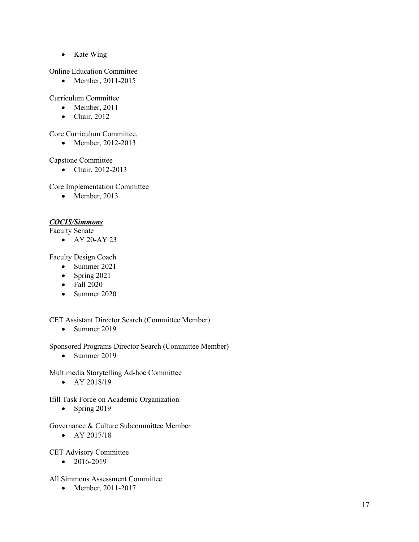• Kate Wing

Online Education Committee

• Member, 2011-2015

Curriculum Committee

- Member, 2011
- Chair, 2012

# Core Curriculum Committee,

• Member, 2012-2013

Capstone Committee

• Chair, 2012-2013

Core Implementation Committee

• Member, 2013

# *COCIS/Simmons*

Faculty Senate

• AY 20-AY 23

Faculty Design Coach

- Summer 2021
- Spring 2021
- Fall 2020
- Summer 2020

CET Assistant Director Search (Committee Member)

• Summer 2019

Sponsored Programs Director Search (Committee Member)

• Summer 2019

Multimedia Storytelling Ad-hoc Committee

• AY 2018/19

Ifill Task Force on Academic Organization

• Spring 2019

Governance & Culture Subcommittee Member

• AY 2017/18

CET Advisory Committee

 $• 2016 - 2019$ 

# All Simmons Assessment Committee

• Member, 2011-2017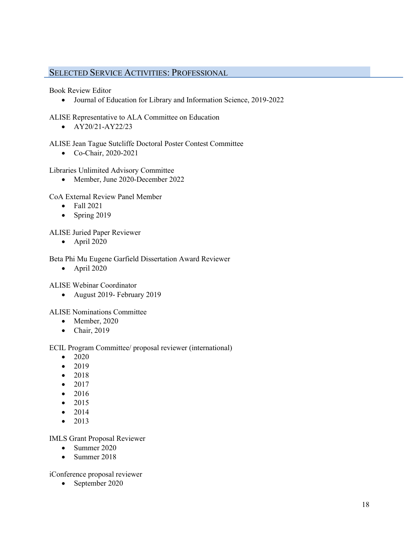# SELECTED SERVICE ACTIVITIES: PROFESSIONAL

Book Review Editor

• Journal of Education for Library and Information Science, 2019-2022

ALISE Representative to ALA Committee on Education

•  $AY20/21-AY22/23$ 

ALISE Jean Tague Sutcliffe Doctoral Poster Contest Committee

• Co-Chair, 2020-2021

Libraries Unlimited Advisory Committee

• Member, June 2020-December 2022

CoA External Review Panel Member

- Fall 2021
- Spring 2019

ALISE Juried Paper Reviewer

• April 2020

Beta Phi Mu Eugene Garfield Dissertation Award Reviewer

 $\bullet$  April 2020

ALISE Webinar Coordinator

• August 2019- February 2019

ALISE Nominations Committee

- Member, 2020
- Chair, 2019

ECIL Program Committee/ proposal reviewer (international)

- 2020
- 2019
- 2018
- 2017
- 2016
- 2015
- $2014$
- 2013

IMLS Grant Proposal Reviewer

- Summer 2020
- Summer 2018

iConference proposal reviewer

• September 2020